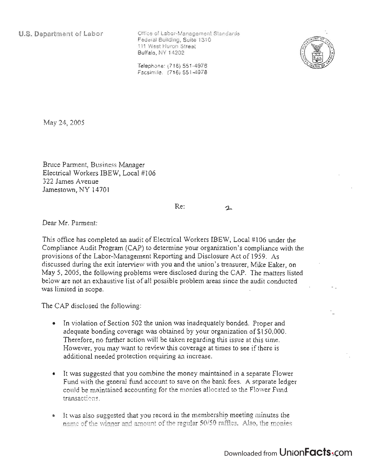**U.S. Department of Labor** 

Office of Labor-Management Standards Federal Building, Suite 1310 111 West Huron Street Buffalo, NY 14202



Telephone: (716) 551-4976 Facsimile: (716) 551-4978

May 24,2005

Bruce Parment, Business Manager Electrical Workers IBEW, Local #106 322 James Avenue Jamestown, NY 14701

 $\mathbf{r}$ 

Dear Mr. Parrnent:

This office has completed an audit of Electrical Workers IBEW, Local #106 under the Compliance Audit Program (CAP) to determine your organization's compliance with the provisions of the Labor-Management Reporting and Disclosure Act of 1959. As discussed during the exit interview with you and the union's treasurer, Mike Eaker, on May 5, 2005, the following problems were disclosed during the CAP. The matters listed below are not an exhaustive list of all possible problem areas since the audit conducted was limited in scope.

Re:

The CAP disclosed the following:

- In violation of Section 502 the union was inadequately bonded. Proper and adequate bonding coverage was obtained by your organization of \$150,000. Therefore, no further action will be taken regarding this issue at this time. However, you may want to review this coverage at times to see if there is additional needed protection requiring an increase.
- It was suggested that you combine the money maintained in a separate Flower Fund with the general fund account to save on the bank fees. A separate ledger could be maintained accounting for the monies allocated to the Flower Fund transactions.
- It was also suggested that you record in the membership meeting minutes the name of the winner and amount of the regular 50/50 raffles. Also, the monies